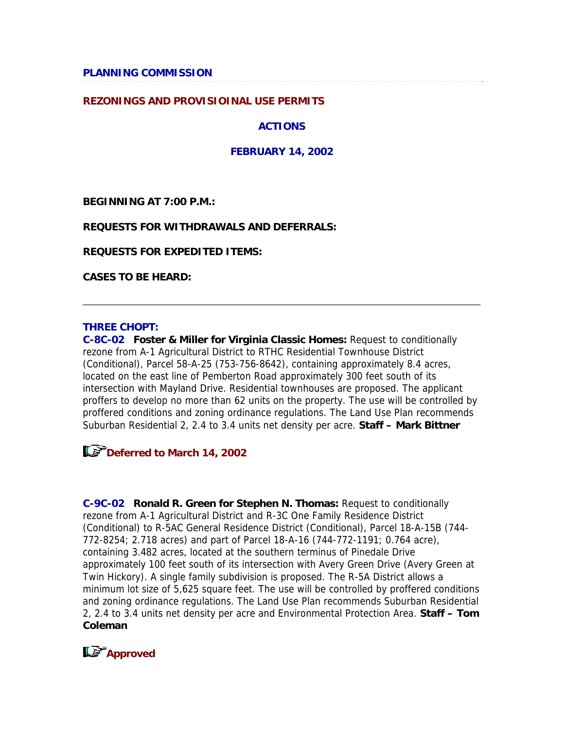**PLANNING COMMISSION** 

#### **REZONINGS AND PROVISIOINAL USE PERMITS**

**ACTIONS**

**FEBRUARY 14, 2002**

**BEGINNING AT 7:00 P.M.:**

#### **REQUESTS FOR WITHDRAWALS AND DEFERRALS:**

**REQUESTS FOR EXPEDITED ITEMS:**

**CASES TO BE HEARD:**

#### **THREE CHOPT:**

**C-8C-02 Foster & Miller for Virginia Classic Homes:** Request to conditionally rezone from A-1 Agricultural District to RTHC Residential Townhouse District (Conditional), Parcel 58-A-25 (753-756-8642), containing approximately 8.4 acres, located on the east line of Pemberton Road approximately 300 feet south of its intersection with Mayland Drive. Residential townhouses are proposed. The applicant proffers to develop no more than 62 units on the property. The use will be controlled by proffered conditions and zoning ordinance regulations. The Land Use Plan recommends Suburban Residential 2, 2.4 to 3.4 units net density per acre. **Staff – Mark Bittner**



**C-9C-02 Ronald R. Green for Stephen N. Thomas:** Request to conditionally rezone from A-1 Agricultural District and R-3C One Family Residence District (Conditional) to R-5AC General Residence District (Conditional), Parcel 18-A-15B (744- 772-8254; 2.718 acres) and part of Parcel 18-A-16 (744-772-1191; 0.764 acre), containing 3.482 acres, located at the southern terminus of Pinedale Drive approximately 100 feet south of its intersection with Avery Green Drive (Avery Green at Twin Hickory). A single family subdivision is proposed. The R-5A District allows a minimum lot size of 5,625 square feet. The use will be controlled by proffered conditions and zoning ordinance regulations. The Land Use Plan recommends Suburban Residential 2, 2.4 to 3.4 units net density per acre and Environmental Protection Area. **Staff – Tom Coleman**

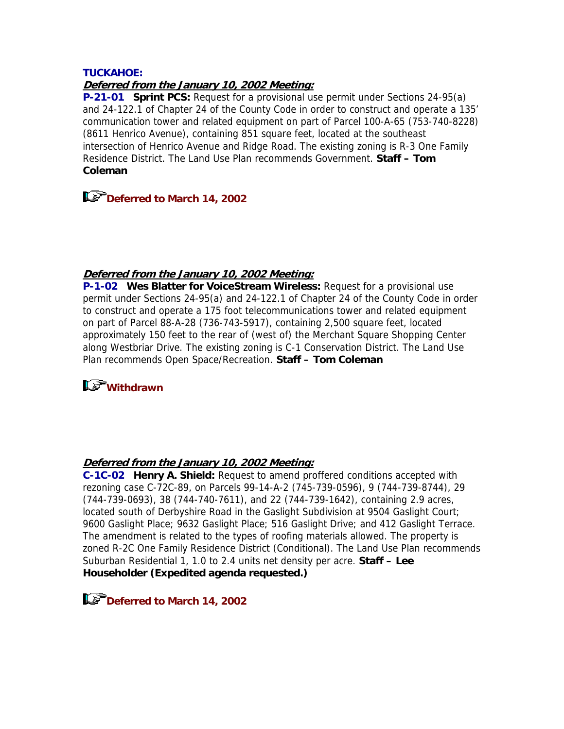#### **TUCKAHOE:**

### **Deferred from the January 10, 2002 Meeting:**

**P-21-01 Sprint PCS:** Request for a provisional use permit under Sections 24-95(a) and 24-122.1 of Chapter 24 of the County Code in order to construct and operate a 135' communication tower and related equipment on part of Parcel 100-A-65 (753-740-8228) (8611 Henrico Avenue), containing 851 square feet, located at the southeast intersection of Henrico Avenue and Ridge Road. The existing zoning is R-3 One Family Residence District. The Land Use Plan recommends Government. **Staff – Tom Coleman**

**Deferred to March 14, 2002** 

#### **Deferred from the January 10, 2002 Meeting:**

**P-1-02 Wes Blatter for VoiceStream Wireless:** Request for a provisional use permit under Sections 24-95(a) and 24-122.1 of Chapter 24 of the County Code in order to construct and operate a 175 foot telecommunications tower and related equipment on part of Parcel 88-A-28 (736-743-5917), containing 2,500 square feet, located approximately 150 feet to the rear of (west of) the Merchant Square Shopping Center along Westbriar Drive. The existing zoning is C-1 Conservation District. The Land Use Plan recommends Open Space/Recreation. **Staff – Tom Coleman**

# **I***S* withdrawn

#### **Deferred from the January 10, 2002 Meeting:**

**C-1C-02 Henry A. Shield:** Request to amend proffered conditions accepted with rezoning case C-72C-89, on Parcels 99-14-A-2 (745-739-0596), 9 (744-739-8744), 29 (744-739-0693), 38 (744-740-7611), and 22 (744-739-1642), containing 2.9 acres, located south of Derbyshire Road in the Gaslight Subdivision at 9504 Gaslight Court; 9600 Gaslight Place; 9632 Gaslight Place; 516 Gaslight Drive; and 412 Gaslight Terrace. The amendment is related to the types of roofing materials allowed. The property is zoned R-2C One Family Residence District (Conditional). The Land Use Plan recommends Suburban Residential 1, 1.0 to 2.4 units net density per acre. **Staff – Lee Householder (Expedited agenda requested.)**

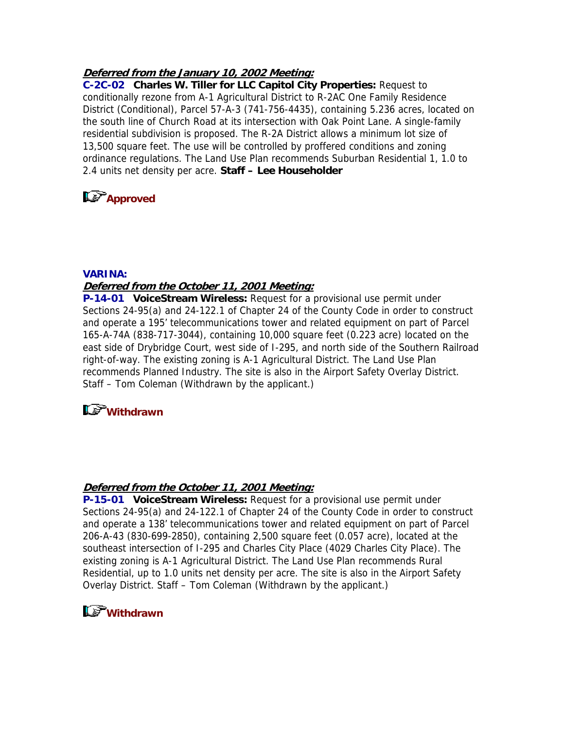### **Deferred from the January 10, 2002 Meeting:**

**C-2C-02 Charles W. Tiller for LLC Capitol City Properties:** Request to conditionally rezone from A-1 Agricultural District to R-2AC One Family Residence District (Conditional), Parcel 57-A-3 (741-756-4435), containing 5.236 acres, located on the south line of Church Road at its intersection with Oak Point Lane. A single-family residential subdivision is proposed. The R-2A District allows a minimum lot size of 13,500 square feet. The use will be controlled by proffered conditions and zoning ordinance regulations. The Land Use Plan recommends Suburban Residential 1, 1.0 to 2.4 units net density per acre. **Staff – Lee Householder**

# **Ls** Approved

#### **VARINA:**

#### **Deferred from the October 11, 2001 Meeting:**

**P-14-01 VoiceStream Wireless:** Request for a provisional use permit under Sections 24-95(a) and 24-122.1 of Chapter 24 of the County Code in order to construct and operate a 195' telecommunications tower and related equipment on part of Parcel 165-A-74A (838-717-3044), containing 10,000 square feet (0.223 acre) located on the east side of Drybridge Court, west side of I-295, and north side of the Southern Railroad right-of-way. The existing zoning is A-1 Agricultural District. The Land Use Plan recommends Planned Industry. The site is also in the Airport Safety Overlay District. Staff – Tom Coleman (Withdrawn by the applicant.)

# **Withdrawn**

#### **Deferred from the October 11, 2001 Meeting:**

**P-15-01 VoiceStream Wireless:** Request for a provisional use permit under Sections 24-95(a) and 24-122.1 of Chapter 24 of the County Code in order to construct and operate a 138' telecommunications tower and related equipment on part of Parcel 206-A-43 (830-699-2850), containing 2,500 square feet (0.057 acre), located at the southeast intersection of I-295 and Charles City Place (4029 Charles City Place). The existing zoning is A-1 Agricultural District. The Land Use Plan recommends Rural Residential, up to 1.0 units net density per acre. The site is also in the Airport Safety Overlay District. Staff – Tom Coleman (Withdrawn by the applicant.)

# **Withdrawn**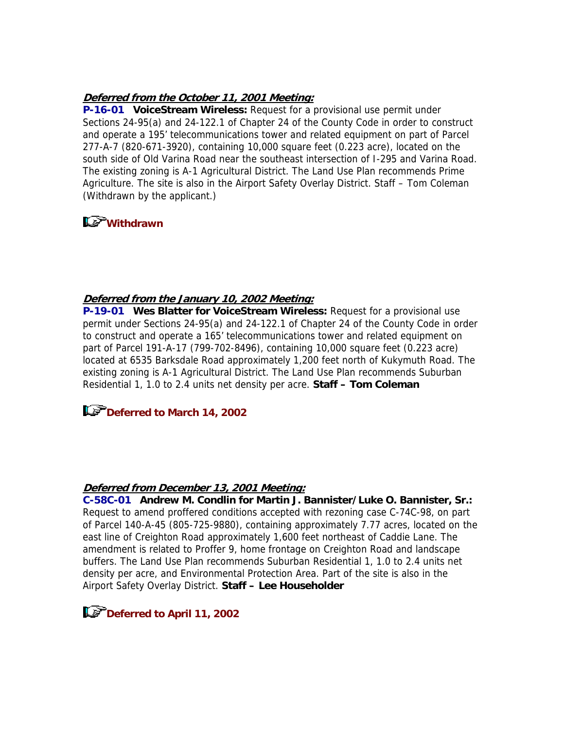### **Deferred from the October 11, 2001 Meeting:**

**P-16-01 VoiceStream Wireless:** Request for a provisional use permit under Sections 24-95(a) and 24-122.1 of Chapter 24 of the County Code in order to construct and operate a 195' telecommunications tower and related equipment on part of Parcel 277-A-7 (820-671-3920), containing 10,000 square feet (0.223 acre), located on the south side of Old Varina Road near the southeast intersection of I-295 and Varina Road. The existing zoning is A-1 Agricultural District. The Land Use Plan recommends Prime Agriculture. The site is also in the Airport Safety Overlay District. Staff – Tom Coleman (Withdrawn by the applicant.)

# **Withdrawn**

### **Deferred from the January 10, 2002 Meeting:**

**P-19-01 Wes Blatter for VoiceStream Wireless:** Request for a provisional use permit under Sections 24-95(a) and 24-122.1 of Chapter 24 of the County Code in order to construct and operate a 165' telecommunications tower and related equipment on part of Parcel 191-A-17 (799-702-8496), containing 10,000 square feet (0.223 acre) located at 6535 Barksdale Road approximately 1,200 feet north of Kukymuth Road. The existing zoning is A-1 Agricultural District. The Land Use Plan recommends Suburban Residential 1, 1.0 to 2.4 units net density per acre. **Staff – Tom Coleman**

# **Deferred to March 14, 2002**

#### **Deferred from December 13, 2001 Meeting:**

**C-58C-01 Andrew M. Condlin for Martin J. Bannister/Luke O. Bannister, Sr.:** Request to amend proffered conditions accepted with rezoning case C-74C-98, on part of Parcel 140-A-45 (805-725-9880), containing approximately 7.77 acres, located on the east line of Creighton Road approximately 1,600 feet northeast of Caddie Lane. The amendment is related to Proffer 9, home frontage on Creighton Road and landscape buffers. The Land Use Plan recommends Suburban Residential 1, 1.0 to 2.4 units net density per acre, and Environmental Protection Area. Part of the site is also in the Airport Safety Overlay District. **Staff – Lee Householder**

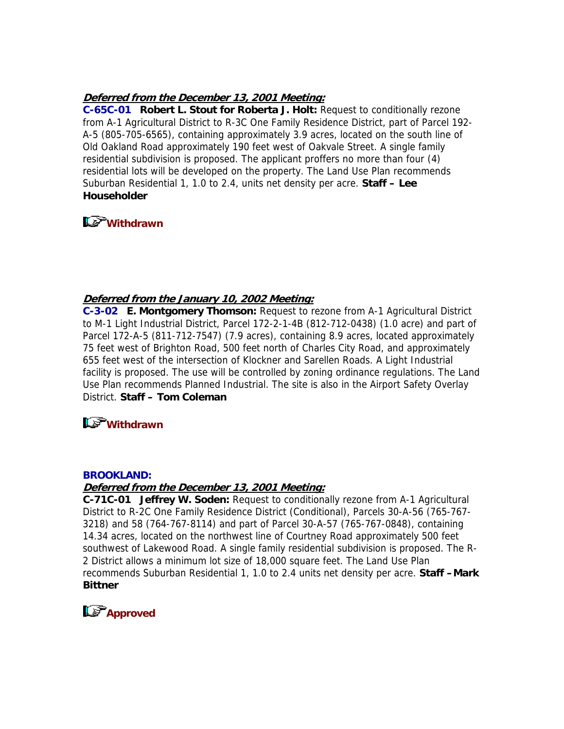### **Deferred from the December 13, 2001 Meeting:**

**C-65C-01 Robert L. Stout for Roberta J. Holt:** Request to conditionally rezone from A-1 Agricultural District to R-3C One Family Residence District, part of Parcel 192- A-5 (805-705-6565), containing approximately 3.9 acres, located on the south line of Old Oakland Road approximately 190 feet west of Oakvale Street. A single family residential subdivision is proposed. The applicant proffers no more than four (4) residential lots will be developed on the property. The Land Use Plan recommends Suburban Residential 1, 1.0 to 2.4, units net density per acre. **Staff – Lee Householder**



### **Deferred from the January 10, 2002 Meeting:**

**C-3-02 E. Montgomery Thomson:** Request to rezone from A-1 Agricultural District to M-1 Light Industrial District, Parcel 172-2-1-4B (812-712-0438) (1.0 acre) and part of Parcel 172-A-5 (811-712-7547) (7.9 acres), containing 8.9 acres, located approximately 75 feet west of Brighton Road, 500 feet north of Charles City Road, and approximately 655 feet west of the intersection of Klockner and Sarellen Roads. A Light Industrial facility is proposed. The use will be controlled by zoning ordinance regulations. The Land Use Plan recommends Planned Industrial. The site is also in the Airport Safety Overlay District. **Staff – Tom Coleman**

# **Withdrawn**

#### **BROOKLAND:**

### **Deferred from the December 13, 2001 Meeting:**

**C-71C-01 Jeffrey W. Soden:** Request to conditionally rezone from A-1 Agricultural District to R-2C One Family Residence District (Conditional), Parcels 30-A-56 (765-767- 3218) and 58 (764-767-8114) and part of Parcel 30-A-57 (765-767-0848), containing 14.34 acres, located on the northwest line of Courtney Road approximately 500 feet southwest of Lakewood Road. A single family residential subdivision is proposed. The R-2 District allows a minimum lot size of 18,000 square feet. The Land Use Plan recommends Suburban Residential 1, 1.0 to 2.4 units net density per acre. **Staff –Mark Bittner**

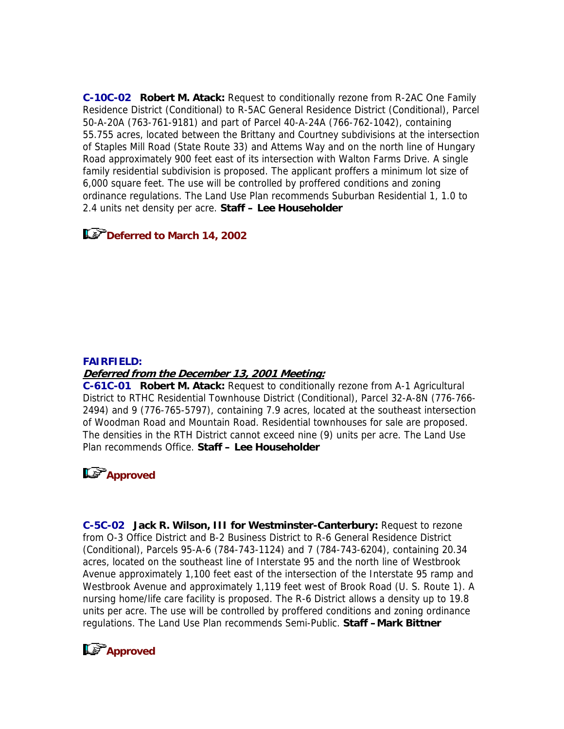**C-10C-02 Robert M. Atack:** Request to conditionally rezone from R-2AC One Family Residence District (Conditional) to R-5AC General Residence District (Conditional), Parcel 50-A-20A (763-761-9181) and part of Parcel 40-A-24A (766-762-1042), containing 55.755 acres, located between the Brittany and Courtney subdivisions at the intersection of Staples Mill Road (State Route 33) and Attems Way and on the north line of Hungary Road approximately 900 feet east of its intersection with Walton Farms Drive. A single family residential subdivision is proposed. The applicant proffers a minimum lot size of 6,000 square feet. The use will be controlled by proffered conditions and zoning ordinance regulations. The Land Use Plan recommends Suburban Residential 1, 1.0 to 2.4 units net density per acre. **Staff – Lee Householder**

# **Deferred to March 14, 2002**

#### **FAIRFIELD:**

#### **Deferred from the December 13, 2001 Meeting:**

**C-61C-01 Robert M. Atack:** Request to conditionally rezone from A-1 Agricultural District to RTHC Residential Townhouse District (Conditional), Parcel 32-A-8N (776-766- 2494) and 9 (776-765-5797), containing 7.9 acres, located at the southeast intersection of Woodman Road and Mountain Road. Residential townhouses for sale are proposed. The densities in the RTH District cannot exceed nine (9) units per acre. The Land Use Plan recommends Office. **Staff – Lee Householder**

# **Approved**

**C-5C-02 Jack R. Wilson, III for Westminster-Canterbury:** Request to rezone from O-3 Office District and B-2 Business District to R-6 General Residence District (Conditional), Parcels 95-A-6 (784-743-1124) and 7 (784-743-6204), containing 20.34 acres, located on the southeast line of Interstate 95 and the north line of Westbrook Avenue approximately 1,100 feet east of the intersection of the Interstate 95 ramp and Westbrook Avenue and approximately 1,119 feet west of Brook Road (U. S. Route 1). A nursing home/life care facility is proposed. The R-6 District allows a density up to 19.8 units per acre. The use will be controlled by proffered conditions and zoning ordinance regulations. The Land Use Plan recommends Semi-Public. **Staff –Mark Bittner**